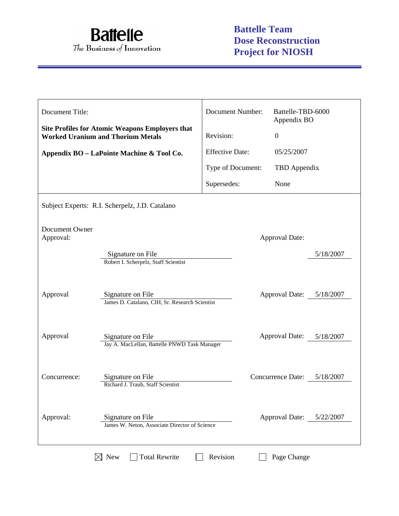

| Document Title:             |                                                                                                    | <b>Document Number:</b><br>Battelle-TBD-6000<br>Appendix BO |                          |           |
|-----------------------------|----------------------------------------------------------------------------------------------------|-------------------------------------------------------------|--------------------------|-----------|
|                             | <b>Site Profiles for Atomic Weapons Employers that</b><br><b>Worked Uranium and Thorium Metals</b> | Revision:                                                   | $\boldsymbol{0}$         |           |
|                             | Appendix BO - LaPointe Machine & Tool Co.                                                          | <b>Effective Date:</b>                                      | 05/25/2007               |           |
|                             |                                                                                                    | Type of Document:                                           | TBD Appendix             |           |
|                             |                                                                                                    | Supersedes:                                                 | None                     |           |
|                             | Subject Experts: R.I. Scherpelz, J.D. Catalano                                                     |                                                             |                          |           |
| Document Owner<br>Approval: | Signature on File<br>Robert I. Scherpelz, Staff Scientist                                          |                                                             | <b>Approval Date:</b>    | 5/18/2007 |
| Approval                    | Signature on File<br>James D. Catalano, CIH, Sr. Research Scientist                                |                                                             | Approval Date: 5/18/2007 |           |
| Approval                    | Signature on File<br>Jay A. MacLellan, Battelle PNWD Task Manager                                  |                                                             | <b>Approval Date:</b>    | 5/18/2007 |
| Concurrence:                | Signature on File<br>Richard J. Traub, Staff Scientist                                             |                                                             | <b>Concurrence Date:</b> | 5/18/2007 |
| Approval:                   | Signature on File<br>James W. Neton, Associate Director of Science                                 |                                                             | Approval Date: 5/22/2007 |           |

 $\boxtimes$  New  $\Box$  Total Rewrite  $\Box$  Revision  $\Box$  Page Change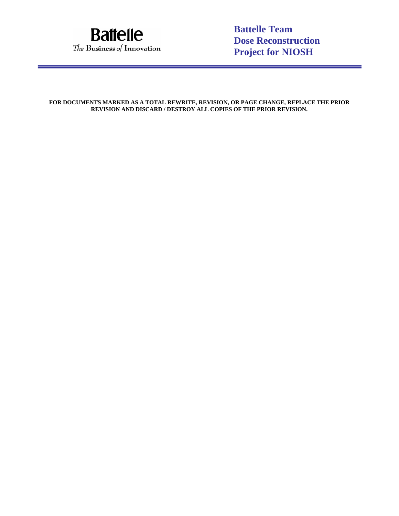

**Battelle Team Dose Reconstruction Project for NIOSH**

**FOR DOCUMENTS MARKED AS A TOTAL REWRITE, REVISION, OR PAGE CHANGE, REPLACE THE PRIOR REVISION AND DISCARD / DESTROY ALL COPIES OF THE PRIOR REVISION.**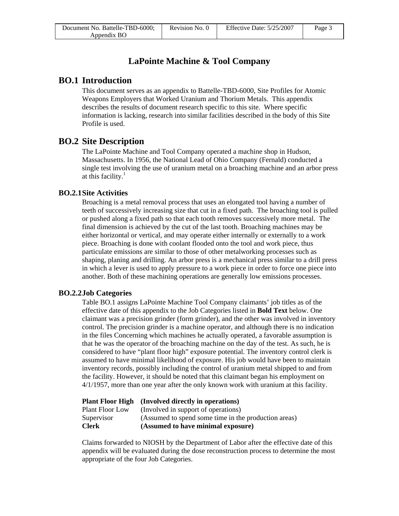# **LaPointe Machine & Tool Company**

## **BO.1 Introduction**

This document serves as an appendix to Battelle-TBD-6000, Site Profiles for Atomic Weapons Employers that Worked Uranium and Thorium Metals. This appendix describes the results of document research specific to this site. Where specific information is lacking, research into similar facilities described in the body of this Site Profile is used.

# **BO.2 Site Description**

The LaPointe Machine and Tool Company operated a machine shop in Hudson, Massachusetts. In 1956, the National Lead of Ohio Company (Fernald) conducted a single test involving the use of uranium metal on a broaching machine and an arbor press at this facility. $<sup>1</sup>$ </sup>

### **BO.2.1 Site Activities**

Broaching is a metal removal process that uses an elongated tool having a number of teeth of successively increasing size that cut in a fixed path. The broaching tool is pulled or pushed along a fixed path so that each tooth removes successively more metal. The final dimension is achieved by the cut of the last tooth. Broaching machines may be either horizontal or vertical, and may operate either internally or externally to a work piece. Broaching is done with coolant flooded onto the tool and work piece, thus particulate emissions are similar to those of other metalworking processes such as shaping, planing and drilling. An arbor press is a mechanical press similar to a drill press in which a lever is used to apply pressure to a work piece in order to force one piece into another. Both of these machining operations are generally low emissions processes.

### **BO.2.2 Job Categories**

Table BO.1 assigns LaPointe Machine Tool Company claimants' job titles as of the effective date of this appendix to the Job Categories listed in **Bold Text** below. One claimant was a precision grinder (form grinder), and the other was involved in inventory control. The precision grinder is a machine operator, and although there is no indication in the files Concerning which machines he actually operated, a favorable assumption is that he was the operator of the broaching machine on the day of the test. As such, he is considered to have "plant floor high" exposure potential. The inventory control clerk is assumed to have minimal likelihood of exposure. His job would have been to maintain inventory records, possibly including the control of uranium metal shipped to and from the facility. However, it should be noted that this claimant began his employment on 4/1/1957, more than one year after the only known work with uranium at this facility.

|                        | <b>Plant Floor High</b> (Involved directly in operations) |
|------------------------|-----------------------------------------------------------|
| <b>Plant Floor Low</b> | (Involved in support of operations)                       |
| Supervisor             | (Assumed to spend some time in the production areas)      |
| <b>Clerk</b>           | (Assumed to have minimal exposure)                        |

Claims forwarded to NIOSH by the Department of Labor after the effective date of this appendix will be evaluated during the dose reconstruction process to determine the most appropriate of the four Job Categories.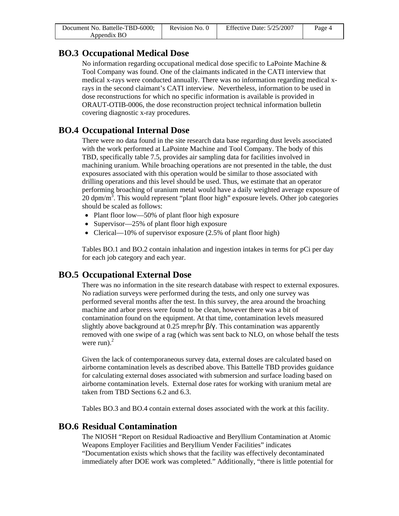| Document No. Battelle-TBD-6000; | Revision No. 0 | Effective Date: $5/25/2007$ | Page 4 |
|---------------------------------|----------------|-----------------------------|--------|
| Appendix BO                     |                |                             |        |

# **BO.3 Occupational Medical Dose**

No information regarding occupational medical dose specific to LaPointe Machine  $\&$ Tool Company was found. One of the claimants indicated in the CATI interview that medical x-rays were conducted annually. There was no information regarding medical xrays in the second claimant's CATI interview. Nevertheless, information to be used in dose reconstructions for which no specific information is available is provided in ORAUT-OTIB-0006, the dose reconstruction project technical information bulletin covering diagnostic x-ray procedures.

# **BO.4 Occupational Internal Dose**

There were no data found in the site research data base regarding dust levels associated with the work performed at LaPointe Machine and Tool Company. The body of this TBD, specifically table 7.5, provides air sampling data for facilities involved in machining uranium. While broaching operations are not presented in the table, the dust exposures associated with this operation would be similar to those associated with drilling operations and this level should be used. Thus, we estimate that an operator performing broaching of uranium metal would have a daily weighted average exposure of  $20$  dpm/m<sup>3</sup>. This would represent "plant floor high" exposure levels. Other job categories should be scaled as follows:

- Plant floor low—50% of plant floor high exposure
- Supervisor—25% of plant floor high exposure
- Clerical—10% of supervisor exposure (2.5% of plant floor high)

Tables BO.1 and BO.2 contain inhalation and ingestion intakes in terms for pCi per day for each job category and each year.

# **BO.5 Occupational External Dose**

There was no information in the site research database with respect to external exposures. No radiation surveys were performed during the tests, and only one survey was performed several months after the test. In this survey, the area around the broaching machine and arbor press were found to be clean, however there was a bit of contamination found on the equipment. At that time, contamination levels measured slightly above background at 0.25 mrep/hr β/γ. This contamination was apparently removed with one swipe of a rag (which was sent back to NLO, on whose behalf the tests were run). $^{2}$ 

Given the lack of contemporaneous survey data, external doses are calculated based on airborne contamination levels as described above. This Battelle TBD provides guidance for calculating external doses associated with submersion and surface loading based on airborne contamination levels. External dose rates for working with uranium metal are taken from TBD Sections 6.2 and 6.3.

Tables BO.3 and BO.4 contain external doses associated with the work at this facility.

# **BO.6 Residual Contamination**

The NIOSH "Report on Residual Radioactive and Beryllium Contamination at Atomic Weapons Employer Facilities and Beryllium Vender Facilities" indicates "Documentation exists which shows that the facility was effectively decontaminated immediately after DOE work was completed." Additionally, "there is little potential for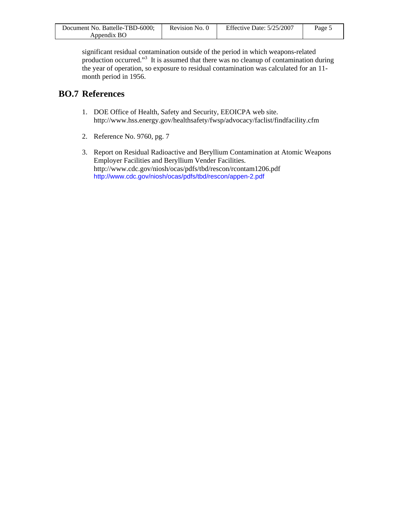| Document No. Battelle-TBD-6000; | Revision No. 0 | Effective Date: $5/25/2007$ | Page 5 |
|---------------------------------|----------------|-----------------------------|--------|
| Appendix BO                     |                |                             |        |

significant residual contamination outside of the period in which weapons-related production occurred."<sup>3</sup> It is assumed that there was no cleanup of contamination during the year of operation, so exposure to residual contamination was calculated for an 11 month period in 1956.

# **BO.7 References**

- 1. DOE Office of Health, Safety and Security, EEOICPA web site. http://www.hss.energy.gov/healthsafety/fwsp/advocacy/faclist/findfacility.cfm
- 2. Reference No. 9760, pg. 7
- 3. Report on Residual Radioactive and Beryllium Contamination at Atomic Weapons Employer Facilities and Beryllium Vender Facilities. http://www.cdc.gov/niosh/ocas/pdfs/tbd/rescon/rcontam1206.pdf http://www.cdc.gov/niosh/ocas/pdfs/tbd/rescon/appen-2.pdf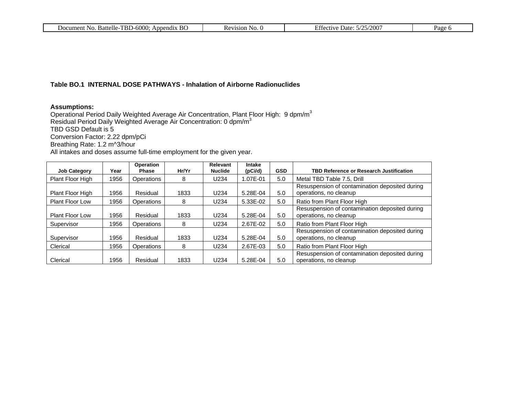| TBD-6000<br>-BC<br>No.<br>Battelle-<br>Document<br><br>Appendix | Revision<br>N <sub>O</sub><br>n c | /2007<br>. הי<br>ective<br>Date:<br>ETHEL. | $a$ ge |
|-----------------------------------------------------------------|-----------------------------------|--------------------------------------------|--------|
|                                                                 |                                   |                                            |        |

## **Table BO.1 INTERNAL DOSE PATHWAYS - Inhalation of Airborne Radionuclides**

### **Assumptions:**

Operational Period Daily Weighted Average Air Concentration, Plant Floor High: 9 dpm/m $^3$ Residual Period Daily Weighted Average Air Concentration: 0 dpm/m<sup>3</sup> TBD GSD Default is 5 Conversion Factor: 2.22 dpm/pCi Breathing Rate: 1.2 m^3/hour All intakes and doses assume full-time employment for the given year.

|                        |      | Operation    |       | Relevant       | Intake   |            |                                                                          |
|------------------------|------|--------------|-------|----------------|----------|------------|--------------------------------------------------------------------------|
| <b>Job Category</b>    | Year | <b>Phase</b> | Hr/Yr | <b>Nuclide</b> | (pCi/d)  | <b>GSD</b> | TBD Reference or Research Justification                                  |
| Plant Floor High       | 1956 | Operations   | 8     | U234           | 1.07E-01 | 5.0        | Metal TBD Table 7.5, Drill                                               |
| Plant Floor High       | 1956 | Residual     | 1833  | U234           | 5.28E-04 | 5.0        | Resuspension of contamination deposited during<br>operations, no cleanup |
| <b>Plant Floor Low</b> | 1956 | Operations   | 8     | U234           | 5.33E-02 | 5.0        | Ratio from Plant Floor High                                              |
| <b>Plant Floor Low</b> | 1956 | Residual     | 1833  | U234           | 5.28E-04 | 5.0        | Resuspension of contamination deposited during<br>operations, no cleanup |
| Supervisor             | 1956 | Operations   | 8     | U234           | 2.67E-02 | 5.0        | Ratio from Plant Floor High                                              |
| Supervisor             | 1956 | Residual     | 1833  | U234           | 5.28E-04 | 5.0        | Resuspension of contamination deposited during<br>operations, no cleanup |
| Clerical               | 1956 | Operations   | 8     | U234           | 2.67E-03 | 5.0        | Ratio from Plant Floor High                                              |
| Clerical               | 1956 | Residual     | 1833  | U234           | 5.28E-04 | 5.0        | Resuspension of contamination deposited during<br>operations, no cleanup |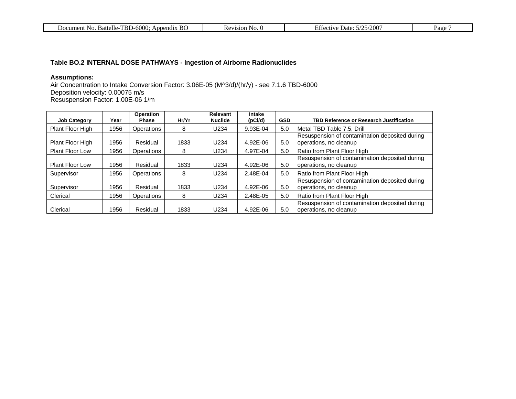| B <sub>C</sub><br>Battelle-TBD-6000<br>N <sub>O</sub><br>Document<br>Append <sub>1X</sub><br> | Kevision<br>NO. | $-25/2007$<br>$\Gamma$ cc<br>Date :<br>$\cdots$ $\cdots$<br>,, | Page |
|-----------------------------------------------------------------------------------------------|-----------------|----------------------------------------------------------------|------|
|-----------------------------------------------------------------------------------------------|-----------------|----------------------------------------------------------------|------|

## **Table BO.2 INTERNAL DOSE PATHWAYS - Ingestion of Airborne Radionuclides**

#### **Assumptions:**

Air Concentration to Intake Conversion Factor: 3.06E-05 (M^3/d)/(hr/y) - see 7.1.6 TBD-6000 Deposition velocity: 0.00075 m/s Resuspension Factor: 1.00E-06 1/m

| <b>Job Category</b>    | Year | Operation<br><b>Phase</b> | Hr/Yr | Relevant<br><b>Nuclide</b> | Intake<br>(pCi/d) | <b>GSD</b> | <b>TBD Reference or Research Justification</b>                           |
|------------------------|------|---------------------------|-------|----------------------------|-------------------|------------|--------------------------------------------------------------------------|
| Plant Floor High       | 1956 | <b>Operations</b>         | 8     | U234                       | 9.93E-04          | 5.0        | Metal TBD Table 7.5, Drill                                               |
| Plant Floor High       | 1956 | Residual                  | 1833  | U234                       | 4.92E-06          | 5.0        | Resuspension of contamination deposited during<br>operations, no cleanup |
| <b>Plant Floor Low</b> | 1956 | Operations                | 8     | U234                       | 4.97E-04          | 5.0        | Ratio from Plant Floor High                                              |
| <b>Plant Floor Low</b> | 1956 | Residual                  | 1833  | U234                       | 4.92E-06          | 5.0        | Resuspension of contamination deposited during<br>operations, no cleanup |
| Supervisor             | 1956 | <b>Operations</b>         | 8     | U234                       | 2.48E-04          | 5.0        | Ratio from Plant Floor High                                              |
| Supervisor             | 1956 | Residual                  | 1833  | U234                       | 4.92E-06          | 5.0        | Resuspension of contamination deposited during<br>operations, no cleanup |
| Clerical               | 1956 | <b>Operations</b>         | 8     | U234                       | 2.48E-05          | 5.0        | Ratio from Plant Floor High                                              |
| Clerical               | 1956 | Residual                  | 1833  | U234                       | 4.92E-06          | 5.0        | Resuspension of contamination deposited during<br>operations, no cleanup |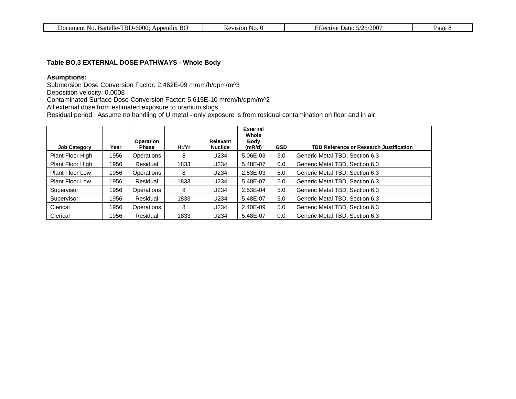| Document No.<br>. Battelle-TBD-6000:<br>BC<br>Appendix | $\cdot$ No.<br>Revision | .5/25/2007<br>Date: 5<br>Effective | Page |
|--------------------------------------------------------|-------------------------|------------------------------------|------|
|                                                        |                         |                                    |      |

#### **Table BO.3 EXTERNAL DOSE PATHWAYS - Whole Body**

### **Asumptions:**

Submersion Dose Conversion Factor: 2.462E-09 mrem/h/dpm/m^3

Deposition velocity: 0.0008

Contaminated Surface Dose Conversion Factor: 5.615E-10 mrem/h/dpm/m^2

All external dose from estimated exposure to uranium slugs

Residual period: Assume no handling of U metal - only exposure is from residual contamination on floor and in air

|                        |      |                                  |       |                            | <b>External</b><br>Whole |            |                                                |
|------------------------|------|----------------------------------|-------|----------------------------|--------------------------|------------|------------------------------------------------|
| <b>Job Category</b>    | Year | <b>Operation</b><br><b>Phase</b> | Hr/Yr | Relevant<br><b>Nuclide</b> | Body<br>(mR/d)           | <b>GSD</b> | <b>TBD Reference or Research Justification</b> |
| Plant Floor High       | 1956 | Operations                       | 8     | U234                       | 5.06E-03                 | 5.0        | Generic Metal TBD, Section 6.3                 |
| Plant Floor High       | 1956 | Residual                         | 1833  | U234                       | 5.48E-07                 | 0.0        | Generic Metal TBD, Section 6.3                 |
| <b>Plant Floor Low</b> | 1956 | Operations                       | 8     | U234                       | 2.53E-03                 | 5.0        | Generic Metal TBD, Section 6.3                 |
| <b>Plant Floor Low</b> | 1956 | Residual                         | 1833  | U234                       | 5.48E-07                 | 5.0        | Generic Metal TBD, Section 6.3                 |
| Supervisor             | 1956 | Operations                       | 8     | U234                       | 2.53E-04                 | 5.0        | Generic Metal TBD, Section 6.3                 |
| Supervisor             | 1956 | Residual                         | 1833  | U234                       | 5.48E-07                 | 5.0        | Generic Metal TBD, Section 6.3                 |
| Clerical               | 1956 | Operations                       | 8     | U234                       | 2.40E-09                 | 5.0        | Generic Metal TBD, Section 6.3                 |
| Clerical               | 1956 | Residual                         | 1833  | U234                       | 5.48E-07                 | 0.0        | Generic Metal TBD, Section 6.3                 |